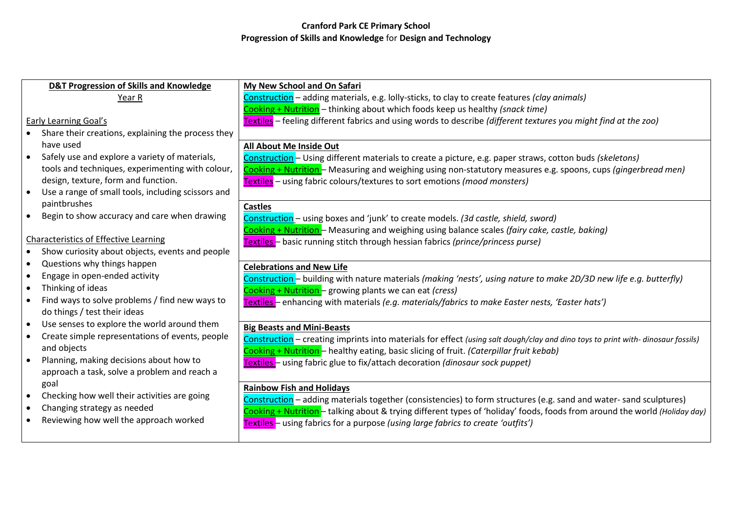| <b>D&amp;T Progression of Skills and Knowledge</b>          | My New School and On Safari                                                                                                     |
|-------------------------------------------------------------|---------------------------------------------------------------------------------------------------------------------------------|
| Year R                                                      | Construction - adding materials, e.g. lolly-sticks, to clay to create features (clay animals)                                   |
|                                                             | Cooking + Nutrition - thinking about which foods keep us healthy (snack time)                                                   |
| <b>Early Learning Goal's</b>                                | Textiles - feeling different fabrics and using words to describe (different textures you might find at the zoo)                 |
| Share their creations, explaining the process they          |                                                                                                                                 |
| have used                                                   | All About Me Inside Out                                                                                                         |
| Safely use and explore a variety of materials,<br>$\bullet$ | Construction - Using different materials to create a picture, e.g. paper straws, cotton buds (skeletons)                        |
| tools and techniques, experimenting with colour,            | Cooking + Nutrition - Measuring and weighing using non-statutory measures e.g. spoons, cups (gingerbread men)                   |
| design, texture, form and function.                         | Textiles - using fabric colours/textures to sort emotions (mood monsters)                                                       |
| Use a range of small tools, including scissors and          |                                                                                                                                 |
| paintbrushes                                                | <b>Castles</b>                                                                                                                  |
| Begin to show accuracy and care when drawing                | Construction - using boxes and 'junk' to create models. (3d castle, shield, sword)                                              |
|                                                             | Cooking + Nutrition - Measuring and weighing using balance scales (fairy cake, castle, baking)                                  |
| <b>Characteristics of Effective Learning</b>                | Textiles - basic running stitch through hessian fabrics (prince/princess purse)                                                 |
| Show curiosity about objects, events and people             |                                                                                                                                 |
| Questions why things happen<br>$\bullet$                    | <b>Celebrations and New Life</b>                                                                                                |
| Engage in open-ended activity<br>$\bullet$                  | Construction - building with nature materials (making 'nests', using nature to make 2D/3D new life e.g. butterfly)              |
| Thinking of ideas<br>$\bullet$                              | Cooking + Nutrition - growing plants we can eat (cress)                                                                         |
| Find ways to solve problems / find new ways to              | Textiles - enhancing with materials (e.g. materials/fabrics to make Easter nests, 'Easter hats')                                |
| do things / test their ideas                                |                                                                                                                                 |
| Use senses to explore the world around them                 | <b>Big Beasts and Mini-Beasts</b>                                                                                               |
| Create simple representations of events, people             | Construction – creating imprints into materials for effect (using salt dough/clay and dino toys to print with-dinosaur fossils) |
| and objects                                                 | Cooking + Nutrition - healthy eating, basic slicing of fruit. (Caterpillar fruit kebab)                                         |
| Planning, making decisions about how to<br>$\bullet$        | Textiles - using fabric glue to fix/attach decoration (dinosaur sock puppet)                                                    |
| approach a task, solve a problem and reach a                |                                                                                                                                 |
| goal                                                        | <b>Rainbow Fish and Holidays</b>                                                                                                |
| Checking how well their activities are going                | Construction - adding materials together (consistencies) to form structures (e.g. sand and water-sand sculptures)               |
| Changing strategy as needed                                 | Cooking + Nutrition - talking about & trying different types of 'holiday' foods, foods from around the world (Holiday day)      |
| Reviewing how well the approach worked                      | Textiles - using fabrics for a purpose (using large fabrics to create 'outfits')                                                |
|                                                             |                                                                                                                                 |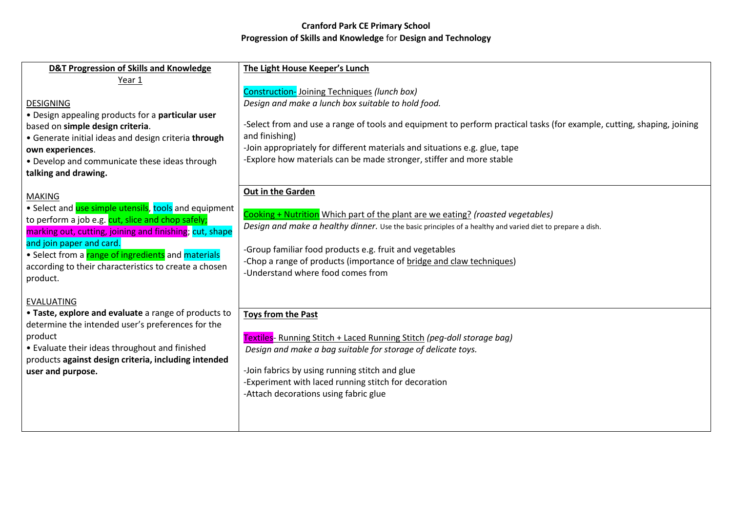| D&T Progression of Skills and Knowledge                                                                                                                                                                                                                                                                                                       | The Light House Keeper's Lunch                                                                                                                                                                                                                                                                                                                                                                             |
|-----------------------------------------------------------------------------------------------------------------------------------------------------------------------------------------------------------------------------------------------------------------------------------------------------------------------------------------------|------------------------------------------------------------------------------------------------------------------------------------------------------------------------------------------------------------------------------------------------------------------------------------------------------------------------------------------------------------------------------------------------------------|
| Year 1<br><b>DESIGNING</b><br>. Design appealing products for a particular user<br>based on simple design criteria.<br>• Generate initial ideas and design criteria through<br>own experiences.<br>• Develop and communicate these ideas through<br>talking and drawing.                                                                      | <b>Construction-Joining Techniques (lunch box)</b><br>Design and make a lunch box suitable to hold food.<br>-Select from and use a range of tools and equipment to perform practical tasks (for example, cutting, shaping, joining<br>and finishing)<br>-Join appropriately for different materials and situations e.g. glue, tape<br>-Explore how materials can be made stronger, stiffer and more stable |
| <b>MAKING</b><br>• Select and use simple utensils, tools and equipment<br>to perform a job e.g. cut, slice and chop safely;<br>marking out, cutting, joining and finishing; cut, shape<br>and join paper and card.<br>• Select from a range of ingredients and materials<br>according to their characteristics to create a chosen<br>product. | Out in the Garden<br>Cooking + Nutrition Which part of the plant are we eating? (roasted vegetables)<br>Design and make a healthy dinner. Use the basic principles of a healthy and varied diet to prepare a dish.<br>-Group familiar food products e.g. fruit and vegetables<br>-Chop a range of products (importance of bridge and claw techniques)<br>-Understand where food comes from                 |
| <b>EVALUATING</b><br>• Taste, explore and evaluate a range of products to<br>determine the intended user's preferences for the<br>product<br>• Evaluate their ideas throughout and finished<br>products against design criteria, including intended<br>user and purpose.                                                                      | <b>Toys from the Past</b><br>Textiles- Running Stitch + Laced Running Stitch (peg-doll storage bag)<br>Design and make a bag suitable for storage of delicate toys.<br>-Join fabrics by using running stitch and glue<br>-Experiment with laced running stitch for decoration<br>-Attach decorations using fabric glue                                                                                     |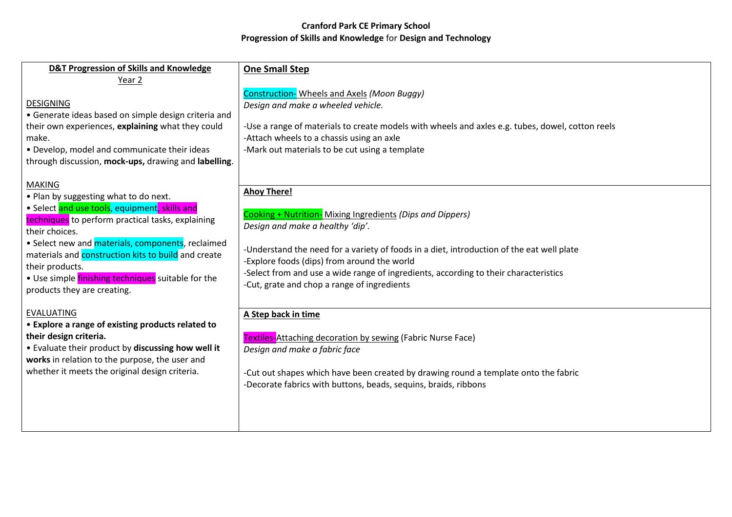| D&T Progression of Skills and Knowledge                                                                                                                                                                                                                                                                                                                                                                   | <b>One Small Step</b>                                                                                                                                                                                                                                                                                                                                                                                   |
|-----------------------------------------------------------------------------------------------------------------------------------------------------------------------------------------------------------------------------------------------------------------------------------------------------------------------------------------------------------------------------------------------------------|---------------------------------------------------------------------------------------------------------------------------------------------------------------------------------------------------------------------------------------------------------------------------------------------------------------------------------------------------------------------------------------------------------|
| Year 2<br><b>DESIGNING</b><br>• Generate ideas based on simple design criteria and<br>their own experiences, explaining what they could<br>make.<br>• Develop, model and communicate their ideas<br>through discussion, mock-ups, drawing and labelling.                                                                                                                                                  | Construction- Wheels and Axels (Moon Buggy)<br>Design and make a wheeled vehicle.<br>-Use a range of materials to create models with wheels and axles e.g. tubes, dowel, cotton reels<br>-Attach wheels to a chassis using an axle<br>-Mark out materials to be cut using a template                                                                                                                    |
| <b>MAKING</b><br>. Plan by suggesting what to do next.<br>• Select and use tools, equipment, skills and<br>techniques to perform practical tasks, explaining<br>their choices.<br>• Select new and materials, components, reclaimed<br>materials and construction kits to build and create<br>their products.<br>. Use simple <i>finishing techniques</i> suitable for the<br>products they are creating. | <b>Ahoy There!</b><br>Cooking + Nutrition- Mixing Ingredients (Dips and Dippers)<br>Design and make a healthy 'dip'.<br>-Understand the need for a variety of foods in a diet, introduction of the eat well plate<br>-Explore foods (dips) from around the world<br>-Select from and use a wide range of ingredients, according to their characteristics<br>-Cut, grate and chop a range of ingredients |
| <b>EVALUATING</b><br>• Explore a range of existing products related to<br>their design criteria.<br>. Evaluate their product by discussing how well it<br>works in relation to the purpose, the user and<br>whether it meets the original design criteria.                                                                                                                                                | A Step back in time<br><b>Textiles-Attaching decoration by sewing (Fabric Nurse Face)</b><br>Design and make a fabric face<br>-Cut out shapes which have been created by drawing round a template onto the fabric<br>-Decorate fabrics with buttons, beads, sequins, braids, ribbons                                                                                                                    |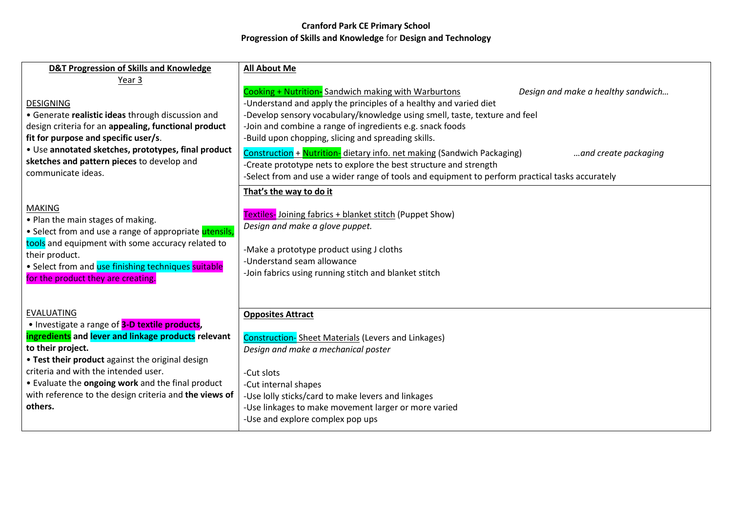| <b>D&amp;T Progression of Skills and Knowledge</b>                                                                                                                                                                                                                                                                                                                    | <b>All About Me</b>                                                                                                                                                                                                                                                                                                                                                                                                                                                                                                                                                                                                                         |
|-----------------------------------------------------------------------------------------------------------------------------------------------------------------------------------------------------------------------------------------------------------------------------------------------------------------------------------------------------------------------|---------------------------------------------------------------------------------------------------------------------------------------------------------------------------------------------------------------------------------------------------------------------------------------------------------------------------------------------------------------------------------------------------------------------------------------------------------------------------------------------------------------------------------------------------------------------------------------------------------------------------------------------|
| Year 3<br><b>DESIGNING</b><br>• Generate realistic ideas through discussion and<br>design criteria for an appealing, functional product<br>fit for purpose and specific user/s.<br>• Use annotated sketches, prototypes, final product<br>sketches and pattern pieces to develop and<br>communicate ideas.                                                            | Cooking + Nutrition-Sandwich making with Warburtons<br>Design and make a healthy sandwich<br>-Understand and apply the principles of a healthy and varied diet<br>-Develop sensory vocabulary/knowledge using smell, taste, texture and feel<br>-Join and combine a range of ingredients e.g. snack foods<br>-Build upon chopping, slicing and spreading skills.<br>Construction + Nutrition- dietary info. net making (Sandwich Packaging)<br>and create packaging<br>-Create prototype nets to explore the best structure and strength<br>-Select from and use a wider range of tools and equipment to perform practical tasks accurately |
| <b>MAKING</b><br>• Plan the main stages of making.<br>• Select from and use a range of appropriate utensils,<br>tools and equipment with some accuracy related to<br>their product.<br>• Select from and use finishing techniques suitable<br>for the product they are creating.                                                                                      | That's the way to do it<br>Textiles-Joining fabrics + blanket stitch (Puppet Show)<br>Design and make a glove puppet.<br>-Make a prototype product using J cloths<br>-Understand seam allowance<br>-Join fabrics using running stitch and blanket stitch                                                                                                                                                                                                                                                                                                                                                                                    |
| <b>EVALUATING</b><br>• Investigate a range of 3-D textile products,<br>ingredients and lever and linkage products relevant<br>to their project.<br>• Test their product against the original design<br>criteria and with the intended user.<br>• Evaluate the ongoing work and the final product<br>with reference to the design criteria and the views of<br>others. | <b>Opposites Attract</b><br><b>Construction-</b> Sheet Materials (Levers and Linkages)<br>Design and make a mechanical poster<br>-Cut slots<br>-Cut internal shapes<br>-Use lolly sticks/card to make levers and linkages<br>-Use linkages to make movement larger or more varied<br>-Use and explore complex pop ups                                                                                                                                                                                                                                                                                                                       |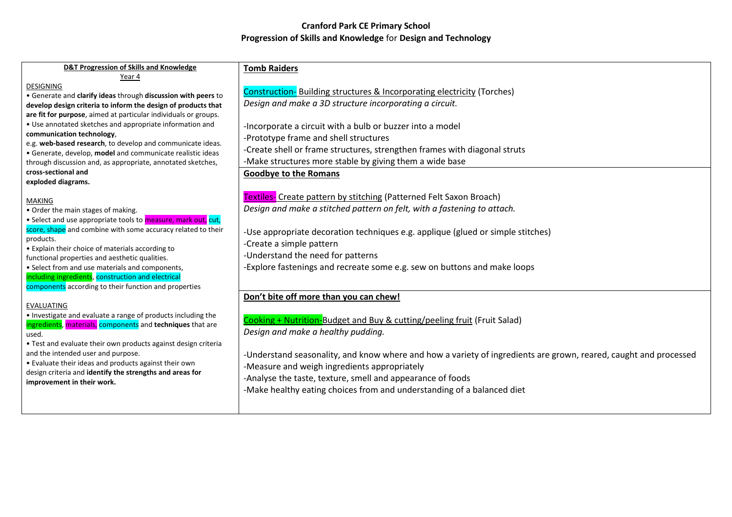| D&T Progression of Skills and Knowledge                                                                                  | <b>Tomb Raiders</b>                                                                                              |
|--------------------------------------------------------------------------------------------------------------------------|------------------------------------------------------------------------------------------------------------------|
| Year 4                                                                                                                   |                                                                                                                  |
| <b>DESIGNING</b><br>• Generate and clarify ideas through discussion with peers to                                        | <b>Construction-</b> Building structures & Incorporating electricity (Torches)                                   |
| develop design criteria to inform the design of products that                                                            | Design and make a 3D structure incorporating a circuit.                                                          |
| are fit for purpose, aimed at particular individuals or groups.                                                          |                                                                                                                  |
| • Use annotated sketches and appropriate information and                                                                 | -Incorporate a circuit with a bulb or buzzer into a model                                                        |
| communication technology,                                                                                                | -Prototype frame and shell structures                                                                            |
| e.g. web-based research, to develop and communicate ideas.<br>· Generate, develop, model and communicate realistic ideas | -Create shell or frame structures, strengthen frames with diagonal struts                                        |
| through discussion and, as appropriate, annotated sketches,                                                              | -Make structures more stable by giving them a wide base                                                          |
| cross-sectional and                                                                                                      | <b>Goodbye to the Romans</b>                                                                                     |
| exploded diagrams.                                                                                                       |                                                                                                                  |
|                                                                                                                          | Textiles- Create pattern by stitching (Patterned Felt Saxon Broach)                                              |
| <b>MAKING</b><br>• Order the main stages of making.                                                                      | Design and make a stitched pattern on felt, with a fastening to attach.                                          |
| • Select and use appropriate tools to measure, mark out, cut,                                                            |                                                                                                                  |
| score, shape and combine with some accuracy related to their                                                             | -Use appropriate decoration techniques e.g. applique (glued or simple stitches)                                  |
| products.                                                                                                                | -Create a simple pattern                                                                                         |
| • Explain their choice of materials according to                                                                         | -Understand the need for patterns                                                                                |
| functional properties and aesthetic qualities.                                                                           | -Explore fastenings and recreate some e.g. sew on buttons and make loops                                         |
| • Select from and use materials and components,<br>including ingredients, construction and electrical                    |                                                                                                                  |
| components according to their function and properties                                                                    |                                                                                                                  |
|                                                                                                                          | Don't bite off more than you can chew!                                                                           |
| <b>EVALUATING</b>                                                                                                        |                                                                                                                  |
| . Investigate and evaluate a range of products including the                                                             | Cooking + Nutrition-Budget and Buy & cutting/peeling fruit (Fruit Salad)                                         |
| ingredients, materials, components and techniques that are<br>used.                                                      | Design and make a healthy pudding.                                                                               |
| . Test and evaluate their own products against design criteria                                                           |                                                                                                                  |
| and the intended user and purpose.                                                                                       | -Understand seasonality, and know where and how a variety of ingredients are grown, reared, caught and processed |
| • Evaluate their ideas and products against their own                                                                    | -Measure and weigh ingredients appropriately                                                                     |
| design criteria and identify the strengths and areas for                                                                 | -Analyse the taste, texture, smell and appearance of foods                                                       |
| improvement in their work.                                                                                               | -Make healthy eating choices from and understanding of a balanced diet                                           |
|                                                                                                                          |                                                                                                                  |
|                                                                                                                          |                                                                                                                  |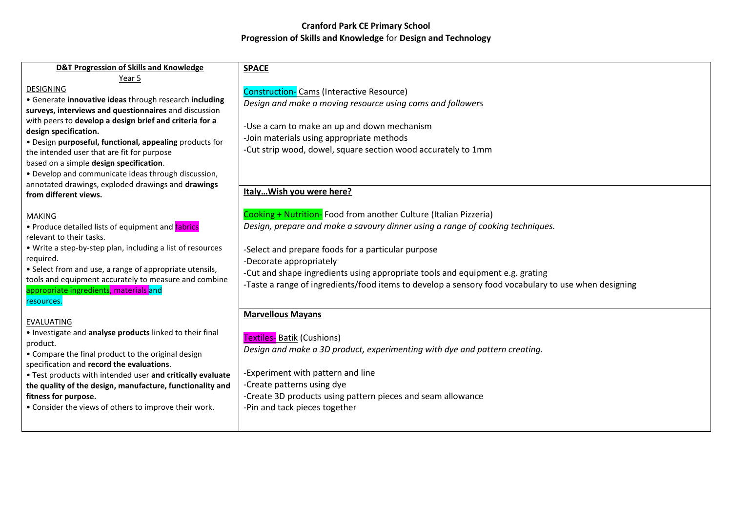| <b>D&amp;T Progression of Skills and Knowledge</b>                               | <b>SPACE</b>                                                                                        |
|----------------------------------------------------------------------------------|-----------------------------------------------------------------------------------------------------|
| Year 5                                                                           |                                                                                                     |
| <b>DESIGNING</b>                                                                 | <b>Construction-</b> Cams (Interactive Resource)                                                    |
| • Generate innovative ideas through research including                           | Design and make a moving resource using cams and followers                                          |
| surveys, interviews and questionnaires and discussion                            |                                                                                                     |
| with peers to develop a design brief and criteria for a<br>design specification. | -Use a cam to make an up and down mechanism                                                         |
| · Design purposeful, functional, appealing products for                          | -Join materials using appropriate methods                                                           |
| the intended user that are fit for purpose                                       | -Cut strip wood, dowel, square section wood accurately to 1mm                                       |
| based on a simple design specification.                                          |                                                                                                     |
| • Develop and communicate ideas through discussion,                              |                                                                                                     |
| annotated drawings, exploded drawings and drawings                               |                                                                                                     |
| from different views.                                                            | Italy Wish you were here?                                                                           |
| <b>MAKING</b>                                                                    | Cooking + Nutrition- Food from another Culture (Italian Pizzeria)                                   |
| • Produce detailed lists of equipment and fabrics                                | Design, prepare and make a savoury dinner using a range of cooking techniques.                      |
| relevant to their tasks.                                                         |                                                                                                     |
| • Write a step-by-step plan, including a list of resources                       | -Select and prepare foods for a particular purpose                                                  |
| required.                                                                        | -Decorate appropriately                                                                             |
| • Select from and use, a range of appropriate utensils,                          | -Cut and shape ingredients using appropriate tools and equipment e.g. grating                       |
| tools and equipment accurately to measure and combine                            | -Taste a range of ingredients/food items to develop a sensory food vocabulary to use when designing |
| appropriate ingredients, materials and                                           |                                                                                                     |
| resources.                                                                       |                                                                                                     |
| <b>EVALUATING</b>                                                                | <b>Marvellous Mayans</b>                                                                            |
| . Investigate and analyse products linked to their final                         |                                                                                                     |
| product.                                                                         | <b>Textiles- Batik (Cushions)</b>                                                                   |
| • Compare the final product to the original design                               | Design and make a 3D product, experimenting with dye and pattern creating.                          |
| specification and record the evaluations.                                        |                                                                                                     |
| . Test products with intended user and critically evaluate                       | -Experiment with pattern and line                                                                   |
| the quality of the design, manufacture, functionality and                        | -Create patterns using dye                                                                          |
| fitness for purpose.                                                             | -Create 3D products using pattern pieces and seam allowance                                         |
| • Consider the views of others to improve their work.                            | -Pin and tack pieces together                                                                       |
|                                                                                  |                                                                                                     |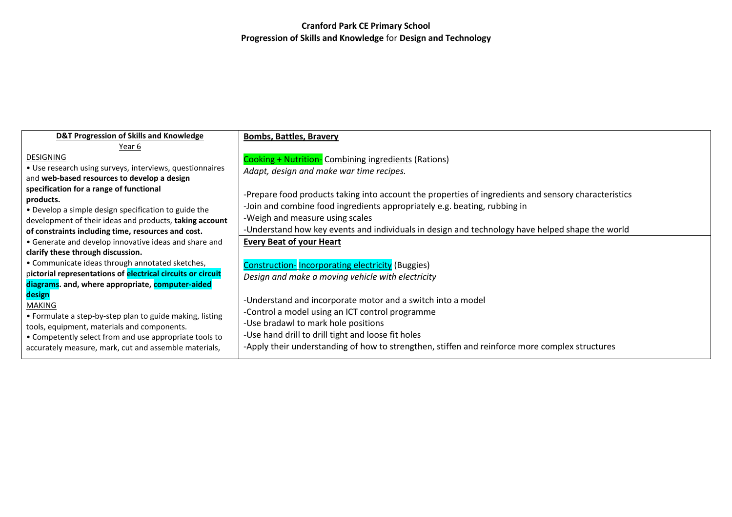| <b>D&amp;T Progression of Skills and Knowledge</b>                                                              | <b>Bombs, Battles, Bravery</b>                                                                       |
|-----------------------------------------------------------------------------------------------------------------|------------------------------------------------------------------------------------------------------|
| Year 6                                                                                                          |                                                                                                      |
| <b>DESIGNING</b>                                                                                                | <b>Cooking + Nutrition-</b> Combining ingredients (Rations)                                          |
| • Use research using surveys, interviews, questionnaires                                                        | Adapt, design and make war time recipes.                                                             |
| and web-based resources to develop a design                                                                     |                                                                                                      |
| specification for a range of functional<br>products.                                                            | -Prepare food products taking into account the properties of ingredients and sensory characteristics |
| • Develop a simple design specification to guide the                                                            | -Join and combine food ingredients appropriately e.g. beating, rubbing in                            |
| development of their ideas and products, taking account                                                         | -Weigh and measure using scales                                                                      |
| of constraints including time, resources and cost.                                                              | -Understand how key events and individuals in design and technology have helped shape the world      |
| • Generate and develop innovative ideas and share and                                                           | <b>Every Beat of your Heart</b>                                                                      |
| clarify these through discussion.                                                                               |                                                                                                      |
| • Communicate ideas through annotated sketches,                                                                 | <b>Construction-Incorporating electricity (Buggies)</b>                                              |
| pictorial representations of electrical circuits or circuit                                                     | Design and make a moving vehicle with electricity                                                    |
| diagrams. and, where appropriate, computer-aided                                                                |                                                                                                      |
| design                                                                                                          | -Understand and incorporate motor and a switch into a model                                          |
| MAKING                                                                                                          | -Control a model using an ICT control programme                                                      |
| • Formulate a step-by-step plan to guide making, listing                                                        | -Use bradawl to mark hole positions                                                                  |
| tools, equipment, materials and components.                                                                     | -Use hand drill to drill tight and loose fit holes                                                   |
| • Competently select from and use appropriate tools to<br>accurately measure, mark, cut and assemble materials, | -Apply their understanding of how to strengthen, stiffen and reinforce more complex structures       |
|                                                                                                                 |                                                                                                      |